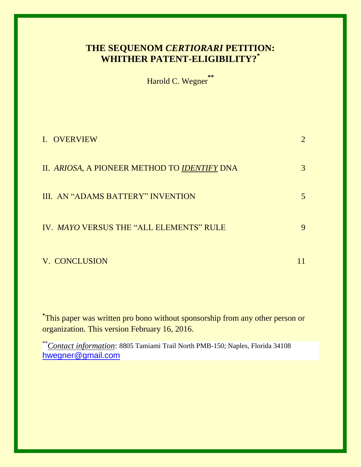# **THE SEQUENOM** *CERTIORARI* **PETITION: WHITHER PATENT-ELIGIBILITY? \***

Harold C. Wegner **\*\***

| I. OVERVIEW                                  |   |
|----------------------------------------------|---|
| II. ARIOSA, A PIONEER METHOD TO IDENTIFY DNA | 3 |
| III. AN "ADAMS BATTERY" INVENTION            | 5 |
| IV. MAYO VERSUS THE "ALL ELEMENTS" RULE      | 9 |
| V. CONCLUSION                                |   |

**\*** This paper was written pro bono without sponsorship from any other person or organization. This version February 16, 2016.

\*\**Contact information*: 8805 Tamiami Trail North PMB-150; Naples, Florida 34108 [hwegner@gmail.com](mailto:hwegner@gmail.com)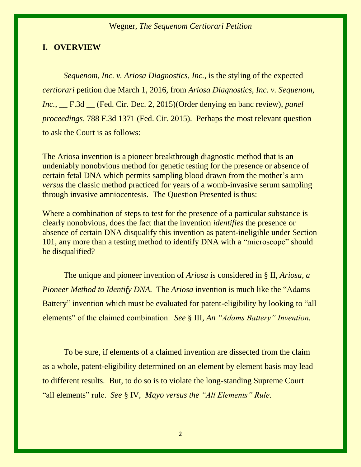#### **I. OVERVIEW**

*Sequenom, Inc. v. Ariosa Diagnostics, Inc.,* is the styling of the expected *certiorari* petition due March 1, 2016, from *Ariosa Diagnostics, Inc. v. Sequenom, Inc.,* \_\_ F.3d \_\_ (Fed. Cir. Dec. 2, 2015)(Order denying en banc review), *panel proceedings,* 788 F.3d 1371 (Fed. Cir. 2015). Perhaps the most relevant question to ask the Court is as follows:

The Ariosa invention is a pioneer breakthrough diagnostic method that is an undeniably nonobvious method for genetic testing for the presence or absence of certain fetal DNA which permits sampling blood drawn from the mother's arm *versus* the classic method practiced for years of a womb-invasive serum sampling through invasive amniocentesis. The Question Presented is thus:

Where a combination of steps to test for the presence of a particular substance is clearly nonobvious, does the fact that the invention *identifies* the presence or absence of certain DNA disqualify this invention as patent-ineligible under Section 101, any more than a testing method to identify DNA with a "microscope" should be disqualified?

The unique and pioneer invention of *Ariosa* is considered in § II, *Ariosa, a Pioneer Method to Identify DNA.* The *Ariosa* invention is much like the "Adams" Battery" invention which must be evaluated for patent-eligibility by looking to "all elements" of the claimed combination. *See* § III, *An "Adams Battery" Invention.*

To be sure, if elements of a claimed invention are dissected from the claim as a whole, patent-eligibility determined on an element by element basis may lead to different results. But, to do so is to violate the long-standing Supreme Court "all elements" rule. *See* § IV,*Mayo versus the "All Elements" Rule.*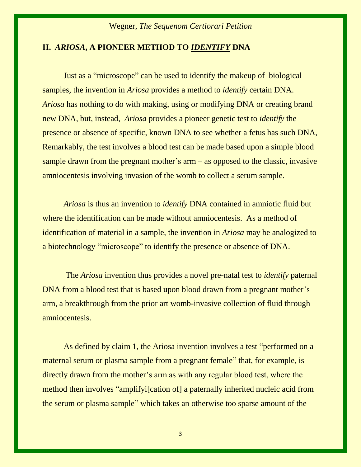# **II.** *ARIOSA***, A PIONEER METHOD TO** *IDENTIFY* **DNA**

Just as a "microscope" can be used to identify the makeup of biological samples, the invention in *Ariosa* provides a method to *identify* certain DNA. *Ariosa* has nothing to do with making, using or modifying DNA or creating brand new DNA, but, instead, *Ariosa* provides a pioneer genetic test to *identify* the presence or absence of specific, known DNA to see whether a fetus has such DNA, Remarkably, the test involves a blood test can be made based upon a simple blood sample drawn from the pregnant mother's arm – as opposed to the classic, invasive amniocentesis involving invasion of the womb to collect a serum sample.

*Ariosa* is thus an invention to *identify* DNA contained in amniotic fluid but where the identification can be made without amniocentesis. As a method of identification of material in a sample, the invention in *Ariosa* may be analogized to a biotechnology "microscope" to identify the presence or absence of DNA.

The *Ariosa* invention thus provides a novel pre-natal test to *identify* paternal DNA from a blood test that is based upon blood drawn from a pregnant mother's arm, a breakthrough from the prior art womb-invasive collection of fluid through amniocentesis.

As defined by claim 1, the Ariosa invention involves a test "performed on a maternal serum or plasma sample from a pregnant female" that, for example, is directly drawn from the mother's arm as with any regular blood test, where the method then involves "amplifyi[cation of] a paternally inherited nucleic acid from the serum or plasma sample" which takes an otherwise too sparse amount of the

3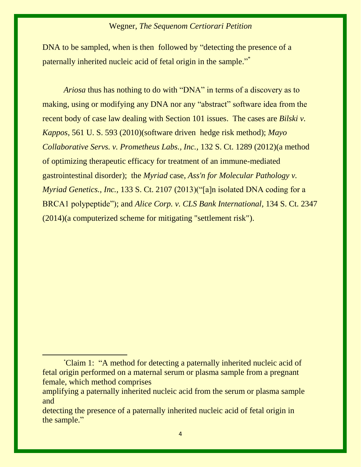DNA to be sampled, when is then followed by "detecting the presence of a paternally inherited nucleic acid of fetal origin in the sample."<sup>\*</sup>

*Ariosa* thus has nothing to do with "DNA" in terms of a discovery as to making, using or modifying any DNA nor any "abstract" software idea from the recent body of case law dealing with Section 101 issues. The cases are *Bilski v. Kappos*, 561 U. S. 593 (2010)(software driven hedge risk method); *Mayo Collaborative Servs. v. Prometheus Labs., Inc.,* 132 S. Ct. 1289 (2012)(a method of optimizing therapeutic efficacy for treatment of an immune-mediated gastrointestinal disorder); the *Myriad* case, *Ass'n for Molecular Pathology v. Myriad Genetics., Inc.,* 133 S. Ct. 2107 (2013)("[a]n isolated DNA coding for a BRCA1 polypeptide"); and *Alice Corp. v. CLS Bank International*, 134 S. Ct. 2347 (2014)(a computerized scheme for mitigating "settlement risk").

 $\overline{a}$ 

<sup>\*</sup>Claim 1: "A method for detecting a paternally inherited nucleic acid of fetal origin performed on a maternal serum or plasma sample from a pregnant female, which method comprises

amplifying a paternally inherited nucleic acid from the serum or plasma sample and

detecting the presence of a paternally inherited nucleic acid of fetal origin in the sample."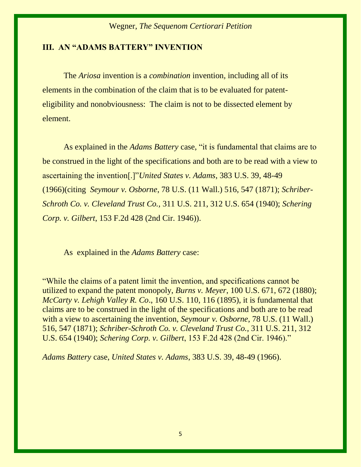#### **III. AN "ADAMS BATTERY" INVENTION**

The *Ariosa* invention is a *combination* invention*,* including all of its elements in the combination of the claim that is to be evaluated for patenteligibility and nonobviousness: The claim is not to be dissected element by element.

As explained in the *Adams Battery* case, "it is fundamental that claims are to be construed in the light of the specifications and both are to be read with a view to ascertaining the invention[.]"*United States v. Adams*, 383 U.S. 39, 48-49 (1966)(citing *Seymour v. Osborne*, 78 U.S. (11 Wall.) 516, 547 (1871); *Schriber-Schroth Co. v. Cleveland Trust Co.,* 311 U.S. 211, 312 U.S. 654 (1940); *Schering Corp. v. Gilbert*, 153 F.2d 428 (2nd Cir. 1946)).

As explained in the *Adams Battery* case:

"While the claims of a patent limit the invention, and specifications cannot be utilized to expand the patent monopoly, *Burns v. Meyer*, 100 U.S. 671, 672 (1880); *McCarty v. Lehigh Valley R. Co*., 160 U.S. 110, 116 (1895), it is fundamental that claims are to be construed in the light of the specifications and both are to be read with a view to ascertaining the invention, *Seymour v. Osborne*, 78 U.S. (11 Wall.) 516, 547 (1871); *Schriber-Schroth Co. v. Cleveland Trust Co.,* 311 U.S. 211, 312 U.S. 654 (1940); *Schering Corp. v. Gilbert*, 153 F.2d 428 (2nd Cir. 1946)."

*Adams Battery* case, *United States v. Adams*, 383 U.S. 39, 48-49 (1966).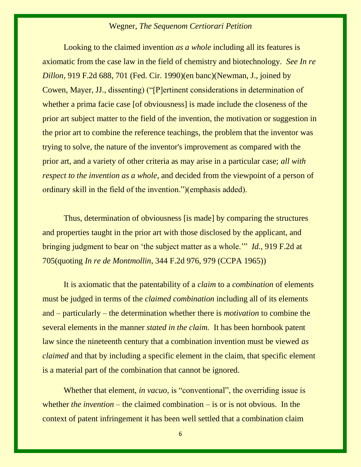Looking to the claimed invention *as a whole* including all its features is axiomatic from the case law in the field of chemistry and biotechnology. *See In re Dillon,* 919 F.2d 688, 701 (Fed. Cir. 1990)(en banc)(Newman, J., joined by Cowen, Mayer, JJ., dissenting) ("[P]ertinent considerations in determination of whether a prima facie case [of obviousness] is made include the closeness of the prior art subject matter to the field of the invention, the motivation or suggestion in the prior art to combine the reference teachings, the problem that the inventor was trying to solve, the nature of the inventor's improvement as compared with the prior art, and a variety of other criteria as may arise in a particular case; *all with respect to the invention as a whole*, and decided from the viewpoint of a person of ordinary skill in the field of the invention.")(emphasis added).

Thus, determination of obviousness [is made] by comparing the structures and properties taught in the prior art with those disclosed by the applicant, and bringing judgment to bear on 'the subject matter as a whole.'" *Id.,* 919 F.2d at 705(quoting *In re de Montmollin*, 344 F.2d 976, 979 (CCPA 1965))

It is axiomatic that the patentability of a *claim* to a *combination* of elements must be judged in terms of the *claimed combination* including all of its elements and – particularly – the determination whether there is *motivation* to combine the several elements in the manner *stated in the claim.* It has been hornbook patent law since the nineteenth century that a combination invention must be viewed *as claimed* and that by including a specific element in the claim, that specific element is a material part of the combination that cannot be ignored.

Whether that element, *in vacuo*, is "conventional", the overriding issue is whether *the invention* – the claimed combination – is or is not obvious. In the context of patent infringement it has been well settled that a combination claim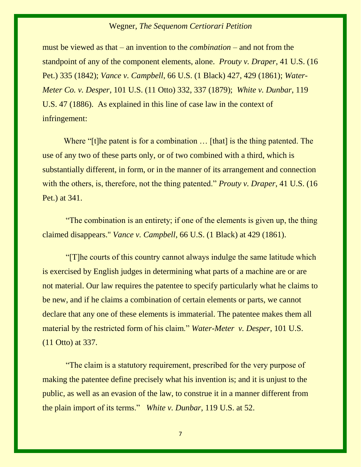must be viewed as that – an invention to the *combination* – and not from the standpoint of any of the component elements, alone. *Prouty v. Draper*, 41 U.S. (16 Pet.) 335 (1842); *Vance v. Campbell*, 66 U.S. (1 Black) 427, 429 (1861); *Water-Meter Co. v. Desper*, 101 U.S. (11 Otto) 332, 337 (1879); *White v. Dunbar*, 119 U.S. 47 (1886). As explained in this line of case law in the context of infringement:

Where "[t]he patent is for a combination ... [that] is the thing patented. The use of any two of these parts only, or of two combined with a third, which is substantially different, in form, or in the manner of its arrangement and connection with the others, is, therefore, not the thing patented." *Prouty v. Draper*, 41 U.S. (16) Pet.) at 341.

"The combination is an entirety; if one of the elements is given up, the thing claimed disappears." *Vance v. Campbell*, 66 U.S. (1 Black) at 429 (1861).

"[T]he courts of this country cannot always indulge the same latitude which is exercised by English judges in determining what parts of a machine are or are not material. Our law requires the patentee to specify particularly what he claims to be new, and if he claims a combination of certain elements or parts, we cannot declare that any one of these elements is immaterial. The patentee makes them all material by the restricted form of his claim." *Water-Meter v. Desper*, 101 U.S. (11 Otto) at 337.

"The claim is a statutory requirement, prescribed for the very purpose of making the patentee define precisely what his invention is; and it is unjust to the public, as well as an evasion of the law, to construe it in a manner different from the plain import of its terms." *White v. Dunbar*, 119 U.S. at 52.

7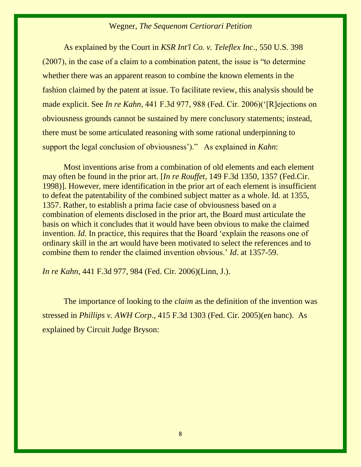As explained by the Court in *KSR Int'l Co. v. Teleflex Inc*., 550 U.S. 398 (2007), in the case of a claim to a combination patent, the issue is "to determine whether there was an apparent reason to combine the known elements in the fashion claimed by the patent at issue. To facilitate review, this analysis should be made explicit. See *In re Kahn*, 441 F.3d 977, 988 (Fed. Cir. 2006)('[R]ejections on obviousness grounds cannot be sustained by mere conclusory statements; instead, there must be some articulated reasoning with some rational underpinning to support the legal conclusion of obviousness')." As explained in *Kahn*:

 Most inventions arise from a combination of old elements and each element may often be found in the prior art. [*In re Rouffet,* 149 F.3d 1350, 1357 (Fed.Cir. 1998)]. However, mere identification in the prior art of each element is insufficient to defeat the patentability of the combined subject matter as a whole. Id. at 1355, 1357. Rather, to establish a prima facie case of obviousness based on a combination of elements disclosed in the prior art, the Board must articulate the basis on which it concludes that it would have been obvious to make the claimed invention. *Id*. In practice, this requires that the Board 'explain the reasons one of ordinary skill in the art would have been motivated to select the references and to combine them to render the claimed invention obvious.' *Id*. at 1357-59.

*In re Kahn*, 441 F.3d 977, 984 (Fed. Cir. 2006)(Linn, J.).

The importance of looking to the *claim* as the definition of the invention was stressed in *Phillips v. AWH Corp*., 415 F.3d 1303 (Fed. Cir. 2005)(en banc). As explained by Circuit Judge Bryson: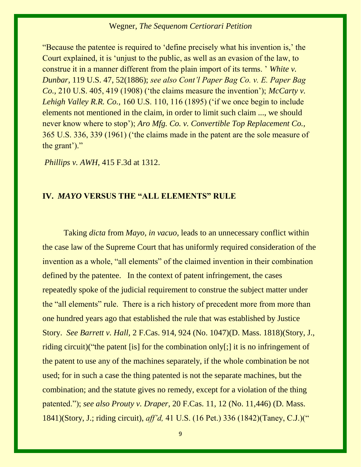"Because the patentee is required to 'define precisely what his invention is,' the Court explained, it is 'unjust to the public, as well as an evasion of the law, to construe it in a manner different from the plain import of its terms. ' *White v. Dunbar,* 119 U.S. 47, 52(1886); *see also Cont'l Paper Bag Co. v. E. Paper Bag Co.,* 210 U.S. 405, 419 (1908) ('the claims measure the invention'); *McCarty v. Lehigh Valley R.R. Co.,* 160 U.S. 110, 116 (1895) ('if we once begin to include elements not mentioned in the claim, in order to limit such claim ..., we should never know where to stop'); *Aro Mfg. Co. v. Convertible Top Replacement Co.,* 365 U.S. 336, 339 (1961) ('the claims made in the patent are the sole measure of the grant')."

*Phillips v. AWH*, 415 F.3d at 1312.

# **IV.** *MAYO* **VERSUS THE "ALL ELEMENTS" RULE**

Taking *dicta* from *Mayo, in vacuo,* leads to an unnecessary conflict within the case law of the Supreme Court that has uniformly required consideration of the invention as a whole, "all elements" of the claimed invention in their combination defined by the patentee. In the context of patent infringement, the cases repeatedly spoke of the judicial requirement to construe the subject matter under the "all elements" rule. There is a rich history of precedent more from more than one hundred years ago that established the rule that was established by Justice Story. *See Barrett v. Hall,* 2 F.Cas. 914, 924 (No. 1047)(D. Mass. 1818)(Story, J., riding circuit)("the patent [is] for the combination only[;] it is no infringement of the patent to use any of the machines separately, if the whole combination be not used; for in such a case the thing patented is not the separate machines, but the combination; and the statute gives no remedy, except for a violation of the thing patented."); *see also Prouty v. Draper,* 20 F.Cas. 11, 12 (No. 11,446) (D. Mass. 1841)(Story, J.; riding circuit), *aff'd,* 41 U.S. (16 Pet.) 336 (1842)(Taney, C.J.)("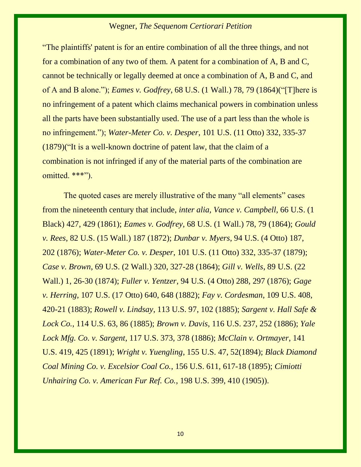"The plaintiffs' patent is for an entire combination of all the three things, and not for a combination of any two of them. A patent for a combination of A, B and C, cannot be technically or legally deemed at once a combination of A, B and C, and of A and B alone."); *Eames v. Godfrey*, 68 U.S. (1 Wall.) 78, 79 (1864)("[T]here is no infringement of a patent which claims mechanical powers in combination unless all the parts have been substantially used. The use of a part less than the whole is no infringement."); *Water-Meter Co. v. Desper*, 101 U.S. (11 Otto) 332, 335-37 (1879)("It is a well-known doctrine of patent law, that the claim of a combination is not infringed if any of the material parts of the combination are omitted. \*\*\*").

The quoted cases are merely illustrative of the many "all elements" cases from the nineteenth century that include, *inter alia, Vance v. Campbell*, 66 U.S. (1 Black) 427, 429 (1861); *Eames v. Godfrey*, 68 U.S. (1 Wall.) 78, 79 (1864); *Gould v. Rees*, 82 U.S. (15 Wall.) 187 (1872); *Dunbar v. Myers*, 94 U.S. (4 Otto) 187, 202 (1876); *Water-Meter Co. v. Desper*, 101 U.S. (11 Otto) 332, 335-37 (1879); *Case v. Brown*, 69 U.S. (2 Wall.) 320, 327-28 (1864); *Gill v. Wells*, 89 U.S. (22 Wall.) 1, 26-30 (1874); *Fuller v. Yentzer*, 94 U.S. (4 Otto) 288, 297 (1876); *Gage v. Herring*, 107 U.S. (17 Otto) 640, 648 (1882); *Fay v. Cordesman*, 109 U.S. 408, 420-21 (1883); *Rowell v. Lindsay*, 113 U.S. 97, 102 (1885); *Sargent v. Hall Safe & Lock Co.*, 114 U.S. 63, 86 (1885); *Brown v. Davis*, 116 U.S. 237, 252 (1886); *Yale Lock Mfg. Co. v. Sargent*, 117 U.S. 373, 378 (1886); *McClain v. Ortmayer*, 141 U.S. 419, 425 (1891); *Wright v. Yuengling*, 155 U.S. 47, 52(1894); *Black Diamond Coal Mining Co. v. Excelsior Coal Co.*, 156 U.S. 611, 617-18 (1895); *Cimiotti Unhairing Co. v. American Fur Ref. Co.*, 198 U.S. 399, 410 (1905)).